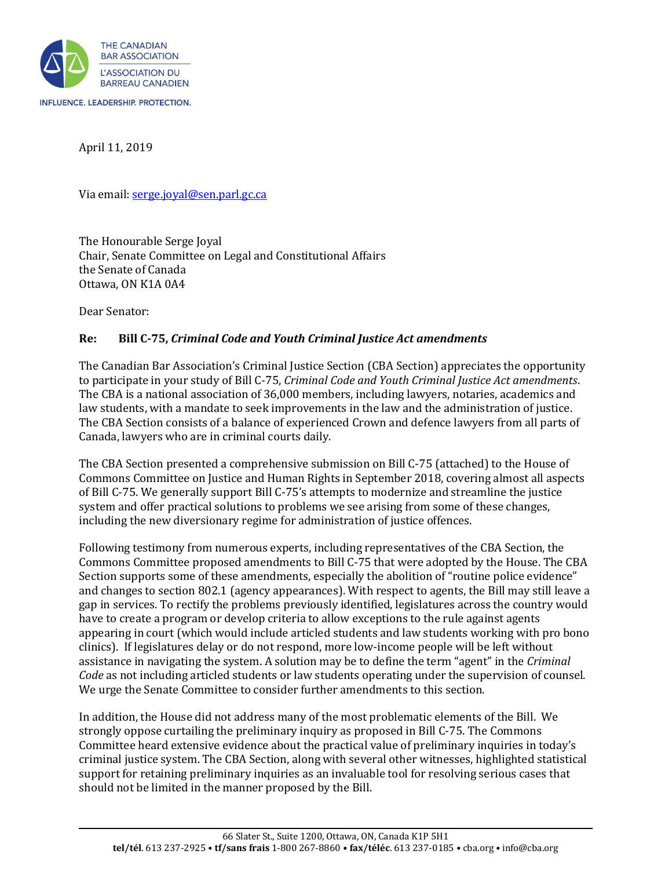

April 11, 2019

Via email[: serge.joyal@sen.parl.gc.ca](mailto:serge.joyal@sen.parl.gc.ca)

The Honourable Serge Joyal Chair, Senate Committee on Legal and Constitutional Affairs the Senate of Canada Ottawa, ON K1A 0A4

Dear Senator:

#### **Re: Bill C-75,** *Criminal Code and Youth Criminal Justice Act amendments*

The Canadian Bar Association's Criminal Justice Section (CBA Section) appreciates the opportunity to participate in your study of Bill C-75, *Criminal Code and Youth Criminal Justice Act amendments*. The CBA is a national association of 36,000 members, including lawyers, notaries, academics and law students, with a mandate to seek improvements in the law and the administration of justice. The CBA Section consists of a balance of experienced Crown and defence lawyers from all parts of Canada, lawyers who are in criminal courts daily.

The CBA Section presented a comprehensive submission on Bill C-75 (attached) to the House of Commons Committee on Justice and Human Rights in September 2018, covering almost all aspects of Bill C-75. We generally support Bill C-75's attempts to modernize and streamline the justice system and offer practical solutions to problems we see arising from some of these changes, including the new diversionary regime for administration of justice offences.

Following testimony from numerous experts, including representatives of the CBA Section, the Commons Committee proposed amendments to Bill C-75 that were adopted by the House. The CBA Section supports some of these amendments, especially the abolition of "routine police evidence" and changes to section 802.1 (agency appearances). With respect to agents, the Bill may still leave a gap in services. To rectify the problems previously identified, legislatures across the country would have to create a program or develop criteria to allow exceptions to the rule against agents appearing in court (which would include articled students and law students working with pro bono clinics). If legislatures delay or do not respond, more low-income people will be left without assistance in navigating the system. A solution may be to define the term "agent" in the *Criminal Code* as not including articled students or law students operating under the supervision of counsel. We urge the Senate Committee to consider further amendments to this section.

In addition, the House did not address many of the most problematic elements of the Bill. We strongly oppose curtailing the preliminary inquiry as proposed in Bill C-75. The Commons Committee heard extensive evidence about the practical value of preliminary inquiries in today's criminal justice system. The CBA Section, along with several other witnesses, highlighted statistical support for retaining preliminary inquiries as an invaluable tool for resolving serious cases that should not be limited in the manner proposed by the Bill.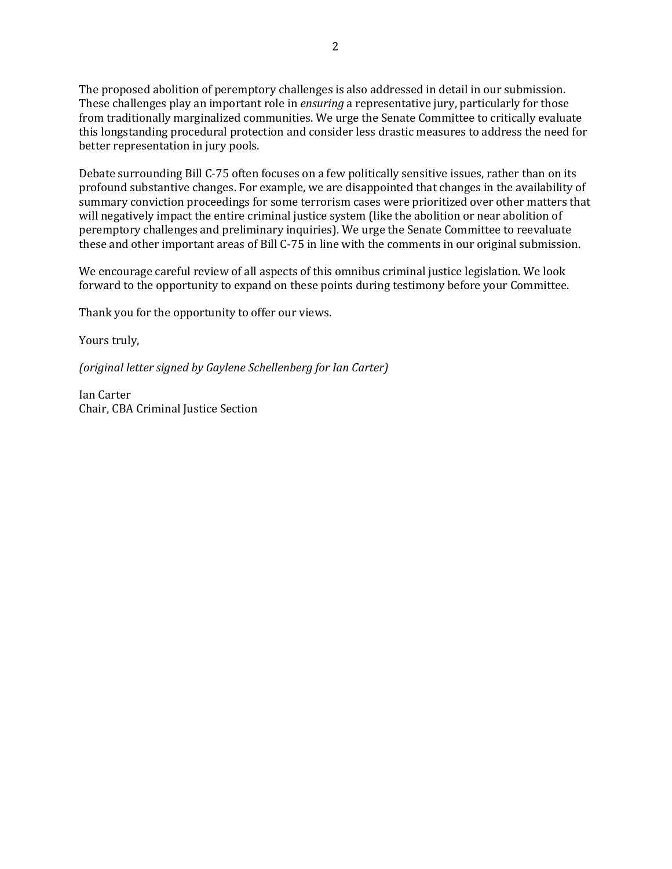The proposed abolition of peremptory challenges is also addressed in detail in our submission. These challenges play an important role in *ensuring* a representative jury, particularly for those from traditionally marginalized communities. We urge the Senate Committee to critically evaluate this longstanding procedural protection and consider less drastic measures to address the need for better representation in jury pools.

Debate surrounding Bill C-75 often focuses on a few politically sensitive issues, rather than on its profound substantive changes. For example, we are disappointed that changes in the availability of summary conviction proceedings for some terrorism cases were prioritized over other matters that will negatively impact the entire criminal justice system (like the abolition or near abolition of peremptory challenges and preliminary inquiries). We urge the Senate Committee to reevaluate these and other important areas of Bill C-75 in line with the comments in our original submission.

We encourage careful review of all aspects of this omnibus criminal justice legislation. We look forward to the opportunity to expand on these points during testimony before your Committee.

Thank you for the opportunity to offer our views.

Yours truly,

*(original letter signed by Gaylene Schellenberg for Ian Carter)*

Ian Carter Chair, CBA Criminal Justice Section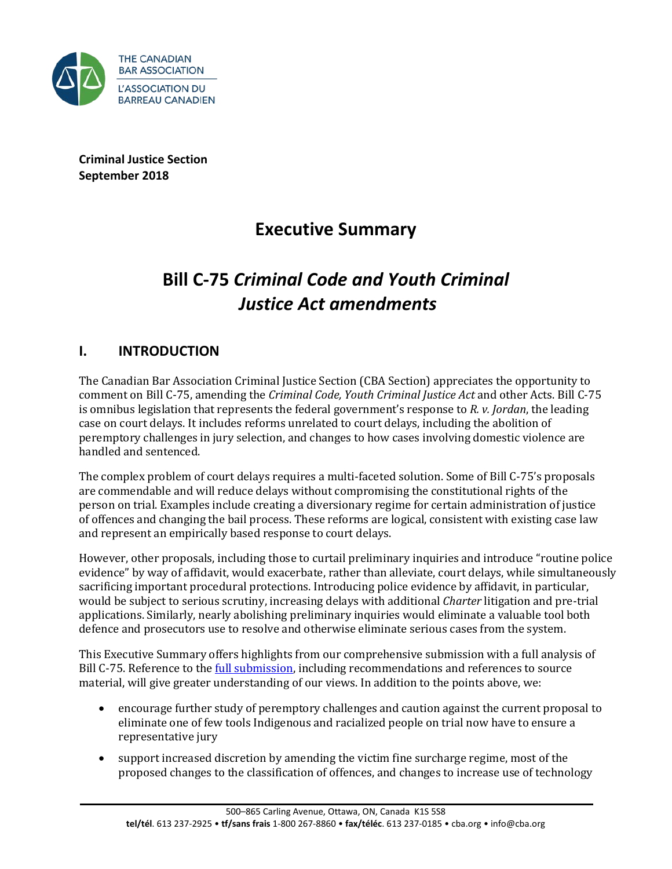

**Criminal Justice Section September 2018**

# **Executive Summary**

# **Bill C-75** *Criminal Code and Youth Criminal Justice Act amendments*

## **I. INTRODUCTION**

The Canadian Bar Association Criminal Justice Section (CBA Section) appreciates the opportunity to comment on Bill C-75, amending the *Criminal Code, Youth Criminal Justice Act* and other Acts. Bill C-75 is omnibus legislation that represents the federal government's response to *R. v. Jordan*, the leading case on court delays. It includes reforms unrelated to court delays, including the abolition of peremptory challenges in jury selection, and changes to how cases involving domestic violence are handled and sentenced.

The complex problem of court delays requires a multi-faceted solution. Some of Bill C-75's proposals are commendable and will reduce delays without compromising the constitutional rights of the person on trial. Examples include creating a diversionary regime for certain administration of justice of offences and changing the bail process. These reforms are logical, consistent with existing case law and represent an empirically based response to court delays.

However, other proposals, including those to curtail preliminary inquiries and introduce "routine police evidence" by way of affidavit, would exacerbate, rather than alleviate, court delays, while simultaneously sacrificing important procedural protections. Introducing police evidence by affidavit, in particular, would be subject to serious scrutiny, increasing delays with additional *Charter* litigation and pre-trial applications. Similarly, nearly abolishing preliminary inquiries would eliminate a valuable tool both defence and prosecutors use to resolve and otherwise eliminate serious cases from the system.

This Executive Summary offers highlights from our comprehensive submission with a full analysis of Bill C-75. Reference to the [full submission,](https://www.cba.org/CMSPages/GetFile.aspx?guid=2058601f-9ae0-4dbb-9e8b-7e829462213b) including recommendations and references to source material, will give greater understanding of our views. In addition to the points above, we:

- encourage further study of peremptory challenges and caution against the current proposal to eliminate one of few tools Indigenous and racialized people on trial now have to ensure a representative jury
- support increased discretion by amending the victim fine surcharge regime, most of the proposed changes to the classification of offences, and changes to increase use of technology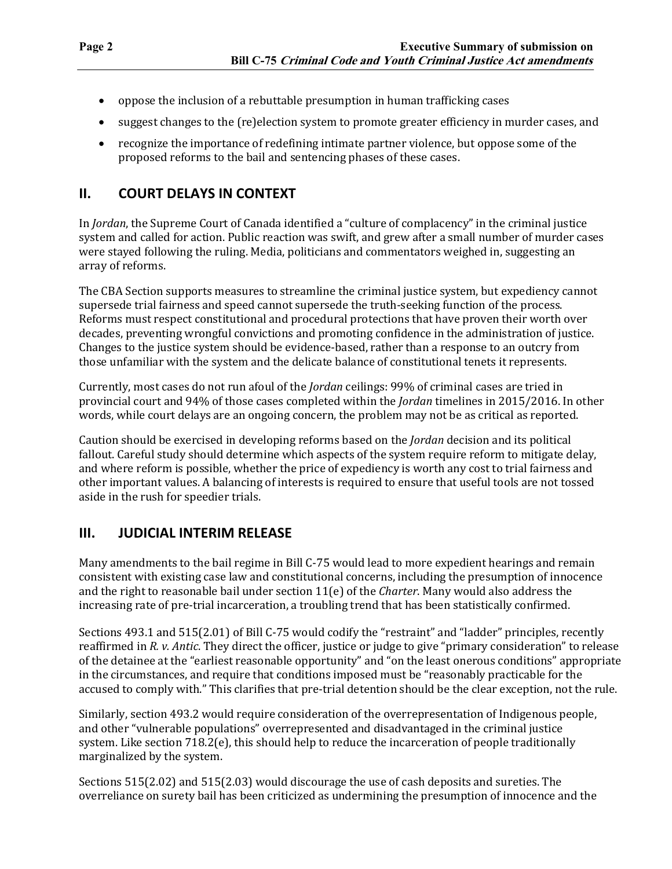- oppose the inclusion of a rebuttable presumption in human trafficking cases
- suggest changes to the (re)election system to promote greater efficiency in murder cases, and
- recognize the importance of redefining intimate partner violence, but oppose some of the proposed reforms to the bail and sentencing phases of these cases.

## **II. COURT DELAYS IN CONTEXT**

In *Jordan*, the Supreme Court of Canada identified a "culture of complacency" in the criminal justice system and called for action. Public reaction was swift, and grew after a small number of murder cases were stayed following the ruling. Media, politicians and commentators weighed in, suggesting an array of reforms.

The CBA Section supports measures to streamline the criminal justice system, but expediency cannot supersede trial fairness and speed cannot supersede the truth-seeking function of the process. Reforms must respect constitutional and procedural protections that have proven their worth over decades, preventing wrongful convictions and promoting confidence in the administration of justice. Changes to the justice system should be evidence-based, rather than a response to an outcry from those unfamiliar with the system and the delicate balance of constitutional tenets it represents.

Currently, most cases do not run afoul of the *Jordan* ceilings: 99% of criminal cases are tried in provincial court and 94% of those cases completed within the *Jordan* timelines in 2015/2016. In other words, while court delays are an ongoing concern, the problem may not be as critical as reported.

Caution should be exercised in developing reforms based on the *Jordan* decision and its political fallout. Careful study should determine which aspects of the system require reform to mitigate delay, and where reform is possible, whether the price of expediency is worth any cost to trial fairness and other important values. A balancing of interests is required to ensure that useful tools are not tossed aside in the rush for speedier trials.

## **III. JUDICIAL INTERIM RELEASE**

Many amendments to the bail regime in Bill C-75 would lead to more expedient hearings and remain consistent with existing case law and constitutional concerns, including the presumption of innocence and the right to reasonable bail under section 11(e) of the *Charter*. Many would also address the increasing rate of pre-trial incarceration, a troubling trend that has been statistically confirmed.

Sections 493.1 and 515(2.01) of Bill C-75 would codify the "restraint" and "ladder" principles, recently reaffirmed in *R. v. Antic*. They direct the officer, justice or judge to give "primary consideration" to release of the detainee at the "earliest reasonable opportunity" and "on the least onerous conditions" appropriate in the circumstances, and require that conditions imposed must be "reasonably practicable for the accused to comply with." This clarifies that pre-trial detention should be the clear exception, not the rule.

Similarly, section 493.2 would require consideration of the overrepresentation of Indigenous people, and other "vulnerable populations" overrepresented and disadvantaged in the criminal justice system. Like section 718.2(e), this should help to reduce the incarceration of people traditionally marginalized by the system.

Sections 515(2.02) and 515(2.03) would discourage the use of cash deposits and sureties. The overreliance on surety bail has been criticized as undermining the presumption of innocence and the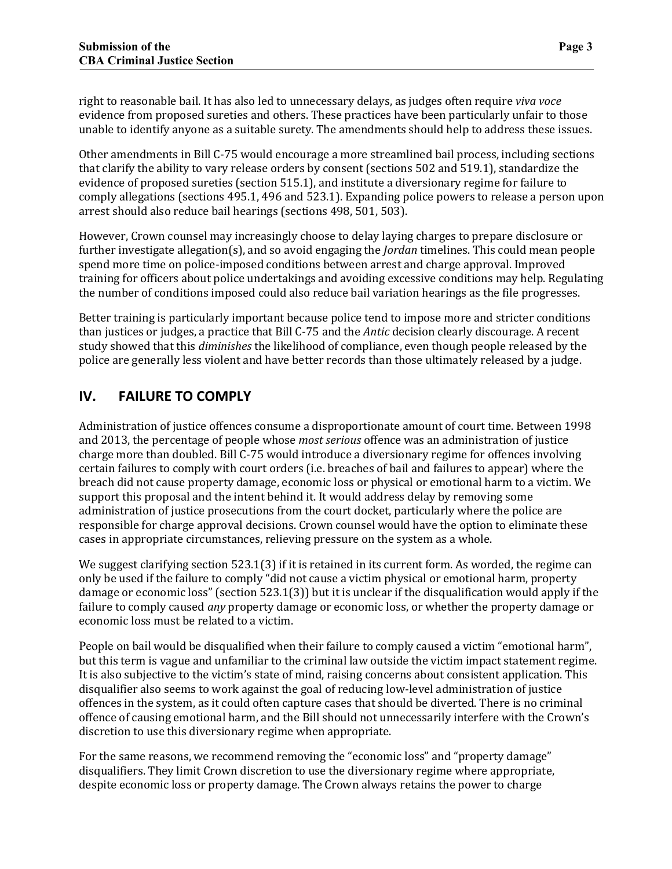right to reasonable bail. It has also led to unnecessary delays, as judges often require *viva voce*  evidence from proposed sureties and others. These practices have been particularly unfair to those unable to identify anyone as a suitable surety. The amendments should help to address these issues.

Other amendments in Bill C-75 would encourage a more streamlined bail process, including sections that clarify the ability to vary release orders by consent (sections 502 and 519.1), standardize the evidence of proposed sureties (section 515.1), and institute a diversionary regime for failure to comply allegations (sections 495.1, 496 and 523.1). Expanding police powers to release a person upon arrest should also reduce bail hearings (sections 498, 501, 503).

However, Crown counsel may increasingly choose to delay laying charges to prepare disclosure or further investigate allegation(s), and so avoid engaging the *Jordan* timelines. This could mean people spend more time on police-imposed conditions between arrest and charge approval. Improved training for officers about police undertakings and avoiding excessive conditions may help. Regulating the number of conditions imposed could also reduce bail variation hearings as the file progresses.

Better training is particularly important because police tend to impose more and stricter conditions than justices or judges, a practice that Bill C-75 and the *Antic* decision clearly discourage. A recent study showed that this *diminishes* the likelihood of compliance, even though people released by the police are generally less violent and have better records than those ultimately released by a judge.

## **IV. FAILURE TO COMPLY**

Administration of justice offences consume a disproportionate amount of court time. Between 1998 and 2013, the percentage of people whose *most serious* offence was an administration of justice charge more than doubled. Bill C-75 would introduce a diversionary regime for offences involving certain failures to comply with court orders (i.e. breaches of bail and failures to appear) where the breach did not cause property damage, economic loss or physical or emotional harm to a victim. We support this proposal and the intent behind it. It would address delay by removing some administration of justice prosecutions from the court docket, particularly where the police are responsible for charge approval decisions. Crown counsel would have the option to eliminate these cases in appropriate circumstances, relieving pressure on the system as a whole.

We suggest clarifying section 523.1(3) if it is retained in its current form. As worded, the regime can only be used if the failure to comply "did not cause a victim physical or emotional harm, property damage or economic loss" (section 523.1(3)) but it is unclear if the disqualification would apply if the failure to comply caused *any* property damage or economic loss, or whether the property damage or economic loss must be related to a victim.

People on bail would be disqualified when their failure to comply caused a victim "emotional harm", but this term is vague and unfamiliar to the criminal law outside the victim impact statement regime. It is also subjective to the victim's state of mind, raising concerns about consistent application. This disqualifier also seems to work against the goal of reducing low-level administration of justice offences in the system, as it could often capture cases that should be diverted. There is no criminal offence of causing emotional harm, and the Bill should not unnecessarily interfere with the Crown's discretion to use this diversionary regime when appropriate.

For the same reasons, we recommend removing the "economic loss" and "property damage" disqualifiers. They limit Crown discretion to use the diversionary regime where appropriate, despite economic loss or property damage. The Crown always retains the power to charge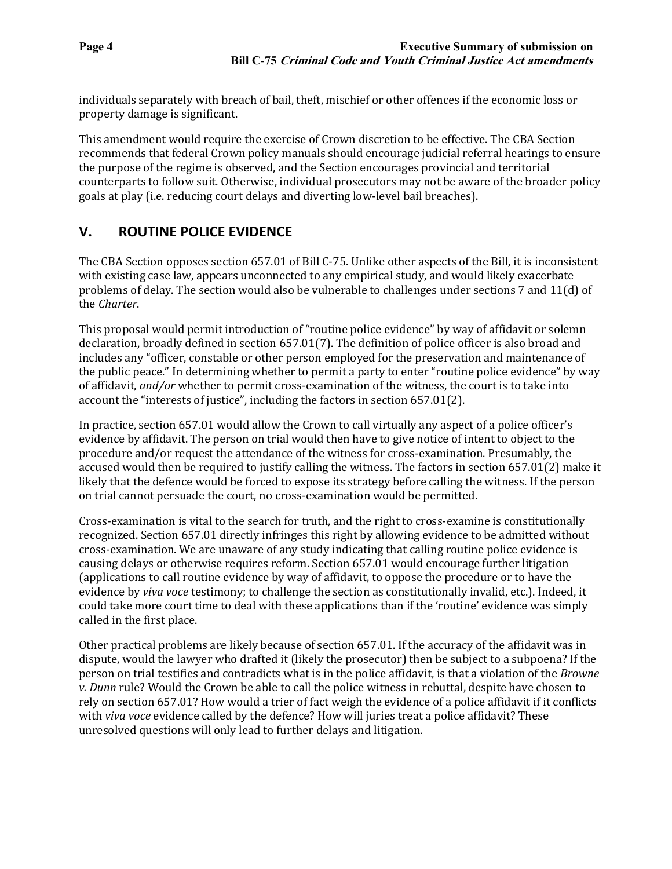individuals separately with breach of bail, theft, mischief or other offences if the economic loss or property damage is significant.

This amendment would require the exercise of Crown discretion to be effective. The CBA Section recommends that federal Crown policy manuals should encourage judicial referral hearings to ensure the purpose of the regime is observed, and the Section encourages provincial and territorial counterparts to follow suit. Otherwise, individual prosecutors may not be aware of the broader policy goals at play (i.e. reducing court delays and diverting low-level bail breaches).

#### **V. ROUTINE POLICE EVIDENCE**

The CBA Section opposes section 657.01 of Bill C-75. Unlike other aspects of the Bill, it is inconsistent with existing case law, appears unconnected to any empirical study, and would likely exacerbate problems of delay. The section would also be vulnerable to challenges under sections 7 and 11(d) of the *Charter*.

This proposal would permit introduction of "routine police evidence" by way of affidavit or solemn declaration, broadly defined in section 657.01(7). The definition of police officer is also broad and includes any "officer, constable or other person employed for the preservation and maintenance of the public peace." In determining whether to permit a party to enter "routine police evidence" by way of affidavit, *and/or* whether to permit cross-examination of the witness, the court is to take into account the "interests of justice", including the factors in section 657.01(2).

In practice, section 657.01 would allow the Crown to call virtually any aspect of a police officer's evidence by affidavit. The person on trial would then have to give notice of intent to object to the procedure and/or request the attendance of the witness for cross-examination. Presumably, the accused would then be required to justify calling the witness. The factors in section 657.01(2) make it likely that the defence would be forced to expose its strategy before calling the witness. If the person on trial cannot persuade the court, no cross-examination would be permitted.

Cross-examination is vital to the search for truth, and the right to cross-examine is constitutionally recognized. Section 657.01 directly infringes this right by allowing evidence to be admitted without cross-examination. We are unaware of any study indicating that calling routine police evidence is causing delays or otherwise requires reform. Section 657.01 would encourage further litigation (applications to call routine evidence by way of affidavit, to oppose the procedure or to have the evidence by *viva voce* testimony; to challenge the section as constitutionally invalid, etc.). Indeed, it could take more court time to deal with these applications than if the 'routine' evidence was simply called in the first place.

Other practical problems are likely because of section 657.01. If the accuracy of the affidavit was in dispute, would the lawyer who drafted it (likely the prosecutor) then be subject to a subpoena? If the person on trial testifies and contradicts what is in the police affidavit, is that a violation of the *Browne v. Dunn* rule? Would the Crown be able to call the police witness in rebuttal, despite have chosen to rely on section 657.01? How would a trier of fact weigh the evidence of a police affidavit if it conflicts with *viva voce* evidence called by the defence? How will juries treat a police affidavit? These unresolved questions will only lead to further delays and litigation.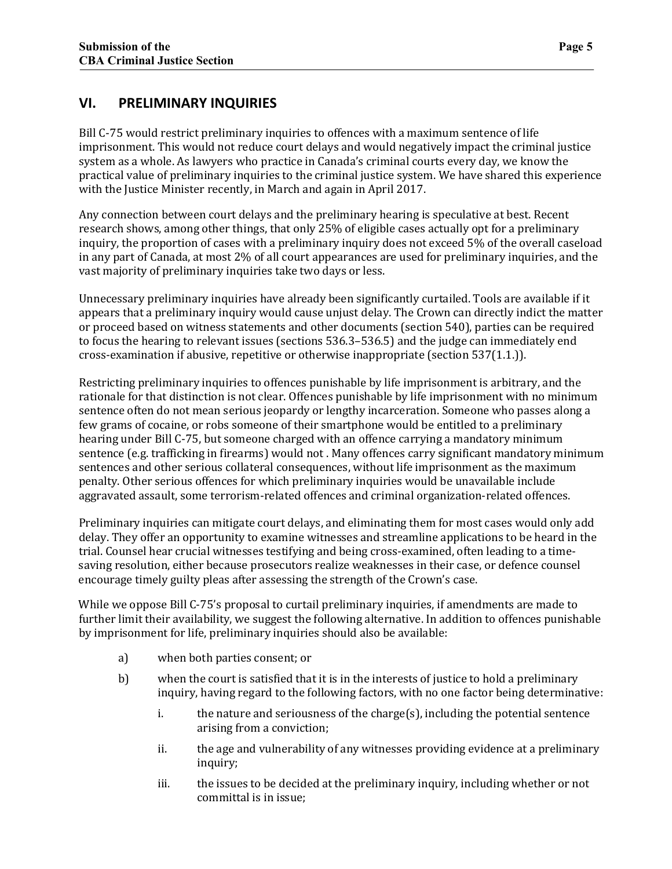Bill C-75 would restrict preliminary inquiries to offences with a maximum sentence of life imprisonment. This would not reduce court delays and would negatively impact the criminal justice system as a whole. As lawyers who practice in Canada's criminal courts every day, we know the practical value of preliminary inquiries to the criminal justice system. We have shared this experience with the Justice Minister recently, in March and again in April 2017.

Any connection between court delays and the preliminary hearing is speculative at best. Recent research shows, among other things, that only 25% of eligible cases actually opt for a preliminary inquiry, the proportion of cases with a preliminary inquiry does not exceed 5% of the overall caseload in any part of Canada, at most 2% of all court appearances are used for preliminary inquiries, and the vast majority of preliminary inquiries take two days or less.

Unnecessary preliminary inquiries have already been significantly curtailed. Tools are available if it appears that a preliminary inquiry would cause unjust delay. The Crown can directly indict the matter or proceed based on witness statements and other documents (section 540), parties can be required to focus the hearing to relevant issues (sections 536.3–536.5) and the judge can immediately end cross-examination if abusive, repetitive or otherwise inappropriate (section 537(1.1.)).

Restricting preliminary inquiries to offences punishable by life imprisonment is arbitrary, and the rationale for that distinction is not clear. Offences punishable by life imprisonment with no minimum sentence often do not mean serious jeopardy or lengthy incarceration. Someone who passes along a few grams of cocaine, or robs someone of their smartphone would be entitled to a preliminary hearing under Bill C-75, but someone charged with an offence carrying a mandatory minimum sentence (e.g. trafficking in firearms) would not . Many offences carry significant mandatory minimum sentences and other serious collateral consequences, without life imprisonment as the maximum penalty. Other serious offences for which preliminary inquiries would be unavailable include aggravated assault, some terrorism-related offences and criminal organization-related offences.

Preliminary inquiries can mitigate court delays, and eliminating them for most cases would only add delay. They offer an opportunity to examine witnesses and streamline applications to be heard in the trial. Counsel hear crucial witnesses testifying and being cross-examined, often leading to a timesaving resolution, either because prosecutors realize weaknesses in their case, or defence counsel encourage timely guilty pleas after assessing the strength of the Crown's case.

While we oppose Bill C-75's proposal to curtail preliminary inquiries, if amendments are made to further limit their availability, we suggest the following alternative. In addition to offences punishable by imprisonment for life, preliminary inquiries should also be available:

- a) when both parties consent; or
- b) when the court is satisfied that it is in the interests of justice to hold a preliminary inquiry, having regard to the following factors, with no one factor being determinative:
	- i. the nature and seriousness of the charge(s), including the potential sentence arising from a conviction;
	- ii. the age and vulnerability of any witnesses providing evidence at a preliminary inquiry;
	- iii. the issues to be decided at the preliminary inquiry, including whether or not committal is in issue;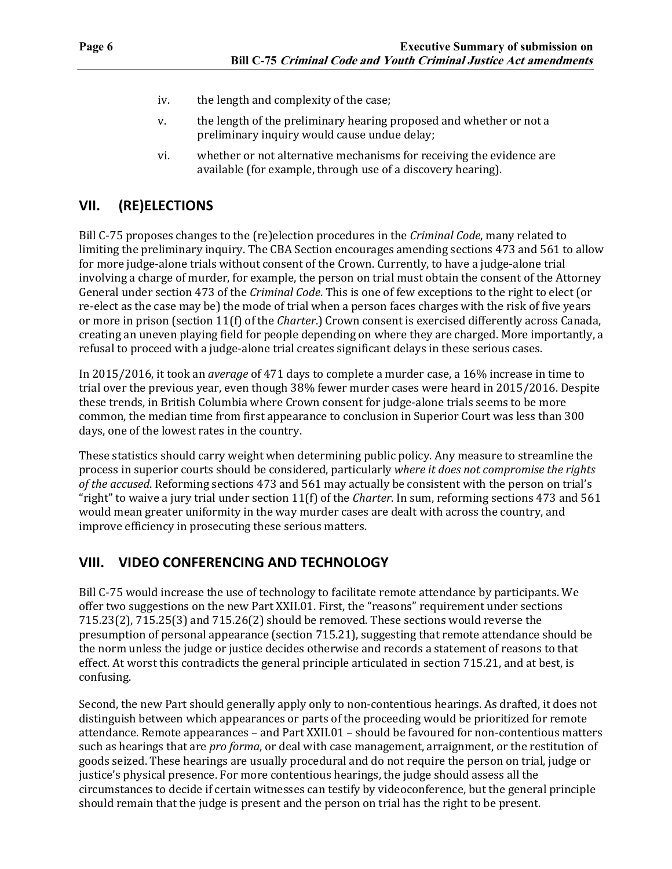- iv. the length and complexity of the case;
- v. the length of the preliminary hearing proposed and whether or not a preliminary inquiry would cause undue delay;
- vi. whether or not alternative mechanisms for receiving the evidence are available (for example, through use of a discovery hearing).

#### **VII. (RE)ELECTIONS**

Bill C-75 proposes changes to the (re)election procedures in the *Criminal Code*, many related to limiting the preliminary inquiry. The CBA Section encourages amending sections 473 and 561 to allow for more judge-alone trials without consent of the Crown. Currently, to have a judge-alone trial involving a charge of murder, for example, the person on trial must obtain the consent of the Attorney General under section 473 of the *Criminal Code*. This is one of few exceptions to the right to elect (or re-elect as the case may be) the mode of trial when a person faces charges with the risk of five years or more in prison (section 11(f) of the *Charter*.) Crown consent is exercised differently across Canada, creating an uneven playing field for people depending on where they are charged. More importantly, a refusal to proceed with a judge-alone trial creates significant delays in these serious cases.

In 2015/2016, it took an *average* of 471 days to complete a murder case, a 16% increase in time to trial over the previous year, even though 38% fewer murder cases were heard in 2015/2016. Despite these trends, in British Columbia where Crown consent for judge-alone trials seems to be more common, the median time from first appearance to conclusion in Superior Court was less than 300 days, one of the lowest rates in the country.

These statistics should carry weight when determining public policy. Any measure to streamline the process in superior courts should be considered, particularly *where it does not compromise the rights of the accused*. Reforming sections 473 and 561 may actually be consistent with the person on trial's "right" to waive a jury trial under section 11(f) of the *Charter*. In sum, reforming sections 473 and 561 would mean greater uniformity in the way murder cases are dealt with across the country, and improve efficiency in prosecuting these serious matters.

#### **VIII. VIDEO CONFERENCING AND TECHNOLOGY**

Bill C-75 would increase the use of technology to facilitate remote attendance by participants. We offer two suggestions on the new Part XXII.01. First, the "reasons" requirement under sections 715.23(2), 715.25(3) and 715.26(2) should be removed. These sections would reverse the presumption of personal appearance (section 715.21), suggesting that remote attendance should be the norm unless the judge or justice decides otherwise and records a statement of reasons to that effect. At worst this contradicts the general principle articulated in section 715.21, and at best, is confusing.

Second, the new Part should generally apply only to non-contentious hearings. As drafted, it does not distinguish between which appearances or parts of the proceeding would be prioritized for remote attendance. Remote appearances – and Part XXII.01 – should be favoured for non-contentious matters such as hearings that are *pro forma*, or deal with case management, arraignment, or the restitution of goods seized. These hearings are usually procedural and do not require the person on trial, judge or justice's physical presence. For more contentious hearings, the judge should assess all the circumstances to decide if certain witnesses can testify by videoconference, but the general principle should remain that the judge is present and the person on trial has the right to be present.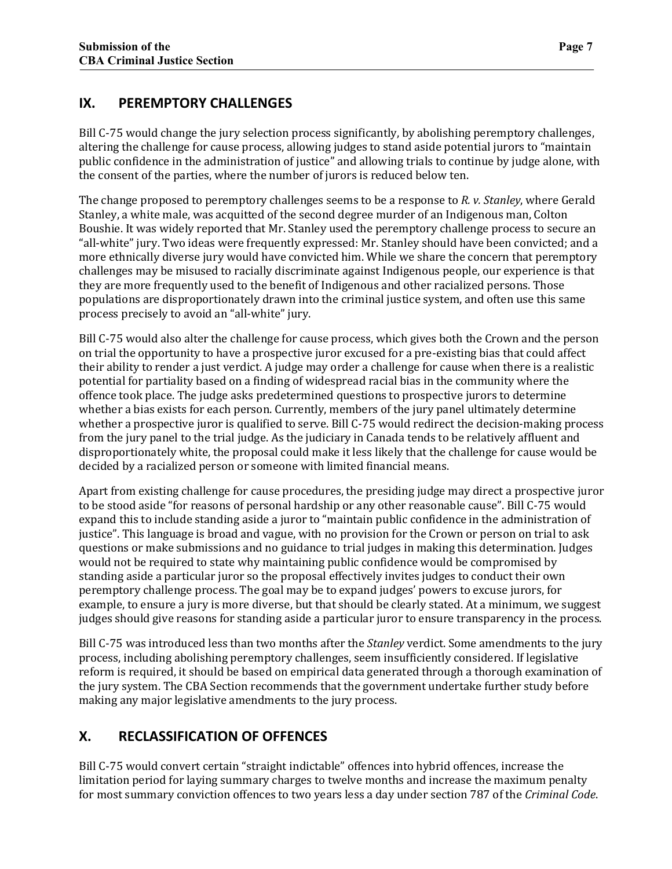#### **IX. PEREMPTORY CHALLENGES**

Bill C-75 would change the jury selection process significantly, by abolishing peremptory challenges, altering the challenge for cause process, allowing judges to stand aside potential jurors to "maintain public confidence in the administration of justice" and allowing trials to continue by judge alone, with the consent of the parties, where the number of jurors is reduced below ten.

The change proposed to peremptory challenges seems to be a response to *R. v. Stanley*, where Gerald Stanley, a white male, was acquitted of the second degree murder of an Indigenous man, Colton Boushie. It was widely reported that Mr. Stanley used the peremptory challenge process to secure an "all-white" jury. Two ideas were frequently expressed: Mr. Stanley should have been convicted; and a more ethnically diverse jury would have convicted him. While we share the concern that peremptory challenges may be misused to racially discriminate against Indigenous people, our experience is that they are more frequently used to the benefit of Indigenous and other racialized persons. Those populations are disproportionately drawn into the criminal justice system, and often use this same process precisely to avoid an "all-white" jury.

Bill C-75 would also alter the challenge for cause process, which gives both the Crown and the person on trial the opportunity to have a prospective juror excused for a pre-existing bias that could affect their ability to render a just verdict. A judge may order a challenge for cause when there is a realistic potential for partiality based on a finding of widespread racial bias in the community where the offence took place. The judge asks predetermined questions to prospective jurors to determine whether a bias exists for each person. Currently, members of the jury panel ultimately determine whether a prospective juror is qualified to serve. Bill C-75 would redirect the decision-making process from the jury panel to the trial judge. As the judiciary in Canada tends to be relatively affluent and disproportionately white, the proposal could make it less likely that the challenge for cause would be decided by a racialized person or someone with limited financial means.

Apart from existing challenge for cause procedures, the presiding judge may direct a prospective juror to be stood aside "for reasons of personal hardship or any other reasonable cause". Bill C-75 would expand this to include standing aside a juror to "maintain public confidence in the administration of justice". This language is broad and vague, with no provision for the Crown or person on trial to ask questions or make submissions and no guidance to trial judges in making this determination. Judges would not be required to state why maintaining public confidence would be compromised by standing aside a particular juror so the proposal effectively invites judges to conduct their own peremptory challenge process. The goal may be to expand judges' powers to excuse jurors, for example, to ensure a jury is more diverse, but that should be clearly stated. At a minimum, we suggest judges should give reasons for standing aside a particular juror to ensure transparency in the process.

Bill C-75 was introduced less than two months after the *Stanley* verdict. Some amendments to the jury process, including abolishing peremptory challenges, seem insufficiently considered. If legislative reform is required, it should be based on empirical data generated through a thorough examination of the jury system. The CBA Section recommends that the government undertake further study before making any major legislative amendments to the jury process.

## **X. RECLASSIFICATION OF OFFENCES**

Bill C-75 would convert certain "straight indictable" offences into hybrid offences, increase the limitation period for laying summary charges to twelve months and increase the maximum penalty for most summary conviction offences to two years less a day under section 787 of the *Criminal Code*.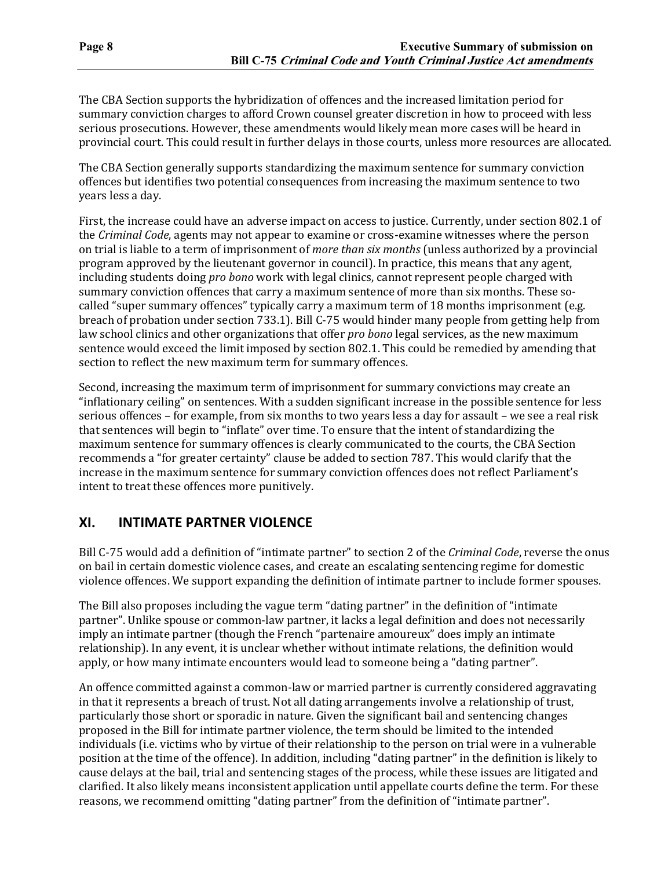The CBA Section supports the hybridization of offences and the increased limitation period for summary conviction charges to afford Crown counsel greater discretion in how to proceed with less serious prosecutions. However, these amendments would likely mean more cases will be heard in provincial court. This could result in further delays in those courts, unless more resources are allocated.

The CBA Section generally supports standardizing the maximum sentence for summary conviction offences but identifies two potential consequences from increasing the maximum sentence to two years less a day.

First, the increase could have an adverse impact on access to justice. Currently, under section 802.1 of the *Criminal Code*, agents may not appear to examine or cross-examine witnesses where the person on trial is liable to a term of imprisonment of *more than six months* (unless authorized by a provincial program approved by the lieutenant governor in council). In practice, this means that any agent, including students doing *pro bono* work with legal clinics, cannot represent people charged with summary conviction offences that carry a maximum sentence of more than six months. These socalled "super summary offences" typically carry a maximum term of 18 months imprisonment (e.g. breach of probation under section 733.1). Bill C-75 would hinder many people from getting help from law school clinics and other organizations that offer *pro bono* legal services, as the new maximum sentence would exceed the limit imposed by section 802.1. This could be remedied by amending that section to reflect the new maximum term for summary offences.

Second, increasing the maximum term of imprisonment for summary convictions may create an "inflationary ceiling" on sentences. With a sudden significant increase in the possible sentence for less serious offences – for example, from six months to two years less a day for assault – we see a real risk that sentences will begin to "inflate" over time. To ensure that the intent of standardizing the maximum sentence for summary offences is clearly communicated to the courts, the CBA Section recommends a "for greater certainty" clause be added to section 787. This would clarify that the increase in the maximum sentence for summary conviction offences does not reflect Parliament's intent to treat these offences more punitively.

#### **XI. INTIMATE PARTNER VIOLENCE**

Bill C-75 would add a definition of "intimate partner" to section 2 of the *Criminal Code*, reverse the onus on bail in certain domestic violence cases, and create an escalating sentencing regime for domestic violence offences. We support expanding the definition of intimate partner to include former spouses.

The Bill also proposes including the vague term "dating partner" in the definition of "intimate partner". Unlike spouse or common-law partner, it lacks a legal definition and does not necessarily imply an intimate partner (though the French "partenaire amoureux" does imply an intimate relationship). In any event, it is unclear whether without intimate relations, the definition would apply, or how many intimate encounters would lead to someone being a "dating partner".

An offence committed against a common-law or married partner is currently considered aggravating in that it represents a breach of trust. Not all dating arrangements involve a relationship of trust, particularly those short or sporadic in nature. Given the significant bail and sentencing changes proposed in the Bill for intimate partner violence, the term should be limited to the intended individuals (i.e. victims who by virtue of their relationship to the person on trial were in a vulnerable position at the time of the offence). In addition, including "dating partner" in the definition is likely to cause delays at the bail, trial and sentencing stages of the process, while these issues are litigated and clarified. It also likely means inconsistent application until appellate courts define the term. For these reasons, we recommend omitting "dating partner" from the definition of "intimate partner".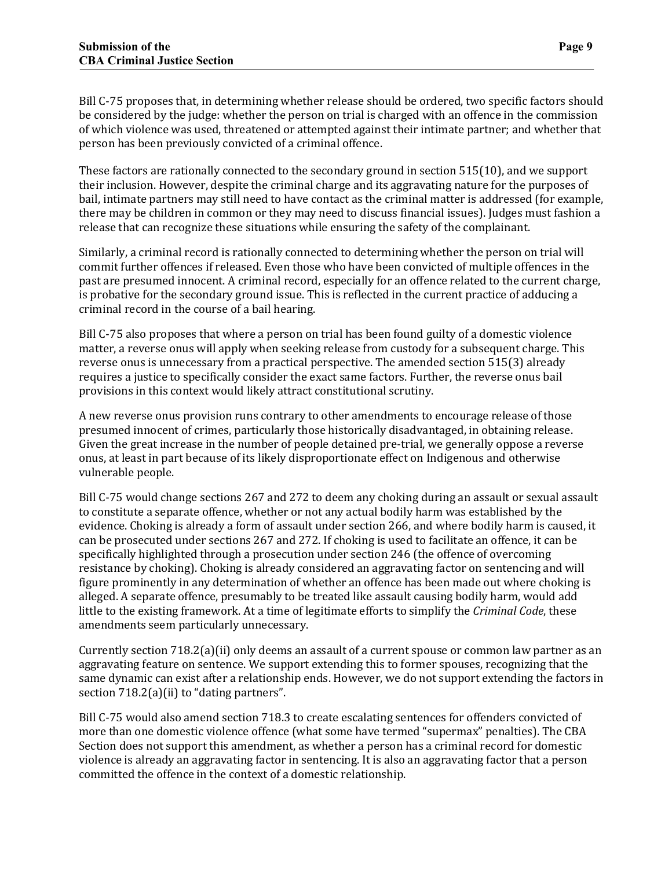Bill C-75 proposes that, in determining whether release should be ordered, two specific factors should be considered by the judge: whether the person on trial is charged with an offence in the commission of which violence was used, threatened or attempted against their intimate partner; and whether that person has been previously convicted of a criminal offence.

These factors are rationally connected to the secondary ground in section 515(10), and we support their inclusion. However, despite the criminal charge and its aggravating nature for the purposes of bail, intimate partners may still need to have contact as the criminal matter is addressed (for example, there may be children in common or they may need to discuss financial issues). Judges must fashion a release that can recognize these situations while ensuring the safety of the complainant.

Similarly, a criminal record is rationally connected to determining whether the person on trial will commit further offences if released. Even those who have been convicted of multiple offences in the past are presumed innocent. A criminal record, especially for an offence related to the current charge, is probative for the secondary ground issue. This is reflected in the current practice of adducing a criminal record in the course of a bail hearing.

Bill C-75 also proposes that where a person on trial has been found guilty of a domestic violence matter, a reverse onus will apply when seeking release from custody for a subsequent charge. This reverse onus is unnecessary from a practical perspective. The amended section 515(3) already requires a justice to specifically consider the exact same factors. Further, the reverse onus bail provisions in this context would likely attract constitutional scrutiny.

A new reverse onus provision runs contrary to other amendments to encourage release of those presumed innocent of crimes, particularly those historically disadvantaged, in obtaining release. Given the great increase in the number of people detained pre-trial, we generally oppose a reverse onus, at least in part because of its likely disproportionate effect on Indigenous and otherwise vulnerable people.

Bill C-75 would change sections 267 and 272 to deem any choking during an assault or sexual assault to constitute a separate offence, whether or not any actual bodily harm was established by the evidence. Choking is already a form of assault under section 266, and where bodily harm is caused, it can be prosecuted under sections 267 and 272. If choking is used to facilitate an offence, it can be specifically highlighted through a prosecution under section 246 (the offence of overcoming resistance by choking). Choking is already considered an aggravating factor on sentencing and will figure prominently in any determination of whether an offence has been made out where choking is alleged. A separate offence, presumably to be treated like assault causing bodily harm, would add little to the existing framework. At a time of legitimate efforts to simplify the *Criminal Code*, these amendments seem particularly unnecessary.

Currently section 718.2(a)(ii) only deems an assault of a current spouse or common law partner as an aggravating feature on sentence. We support extending this to former spouses, recognizing that the same dynamic can exist after a relationship ends. However, we do not support extending the factors in section 718.2(a)(ii) to "dating partners".

Bill C-75 would also amend section 718.3 to create escalating sentences for offenders convicted of more than one domestic violence offence (what some have termed "supermax" penalties). The CBA Section does not support this amendment, as whether a person has a criminal record for domestic violence is already an aggravating factor in sentencing. It is also an aggravating factor that a person committed the offence in the context of a domestic relationship.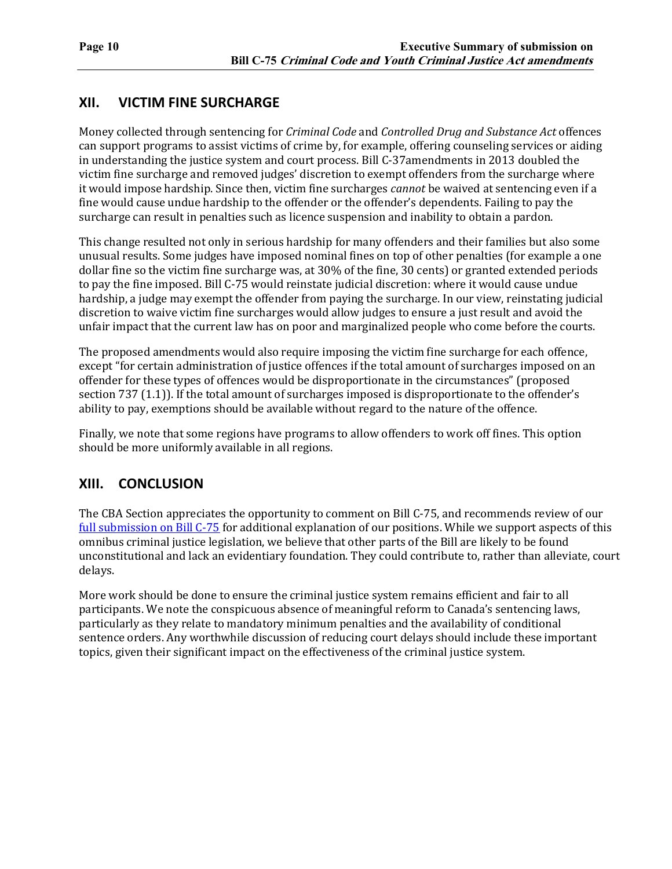#### **XII. VICTIM FINE SURCHARGE**

Money collected through sentencing for *Criminal Code* and *Controlled Drug and Substance Act* offences can support programs to assist victims of crime by, for example, offering counseling services or aiding in understanding the justice system and court process. Bill C-37amendments in 2013 doubled the victim fine surcharge and removed judges' discretion to exempt offenders from the surcharge where it would impose hardship. Since then, victim fine surcharges *cannot* be waived at sentencing even if a fine would cause undue hardship to the offender or the offender's dependents. Failing to pay the surcharge can result in penalties such as licence suspension and inability to obtain a pardon.

This change resulted not only in serious hardship for many offenders and their families but also some unusual results. Some judges have imposed nominal fines on top of other penalties (for example a one dollar fine so the victim fine surcharge was, at 30% of the fine, 30 cents) or granted extended periods to pay the fine imposed. Bill C-75 would reinstate judicial discretion: where it would cause undue hardship, a judge may exempt the offender from paying the surcharge. In our view, reinstating judicial discretion to waive victim fine surcharges would allow judges to ensure a just result and avoid the unfair impact that the current law has on poor and marginalized people who come before the courts.

The proposed amendments would also require imposing the victim fine surcharge for each offence, except "for certain administration of justice offences if the total amount of surcharges imposed on an offender for these types of offences would be disproportionate in the circumstances" (proposed section 737 (1.1)). If the total amount of surcharges imposed is disproportionate to the offender's ability to pay, exemptions should be available without regard to the nature of the offence.

Finally, we note that some regions have programs to allow offenders to work off fines. This option should be more uniformly available in all regions.

#### **XIII. CONCLUSION**

The CBA Section appreciates the opportunity to comment on Bill C-75, and recommends review of our [full submission on Bill C-75](https://www.cba.org/CMSPages/GetFile.aspx?guid=2058601f-9ae0-4dbb-9e8b-7e829462213b) for additional explanation of our positions. While we support aspects of this omnibus criminal justice legislation, we believe that other parts of the Bill are likely to be found unconstitutional and lack an evidentiary foundation. They could contribute to, rather than alleviate, court delays.

More work should be done to ensure the criminal justice system remains efficient and fair to all participants. We note the conspicuous absence of meaningful reform to Canada's sentencing laws, particularly as they relate to mandatory minimum penalties and the availability of conditional sentence orders. Any worthwhile discussion of reducing court delays should include these important topics, given their significant impact on the effectiveness of the criminal justice system.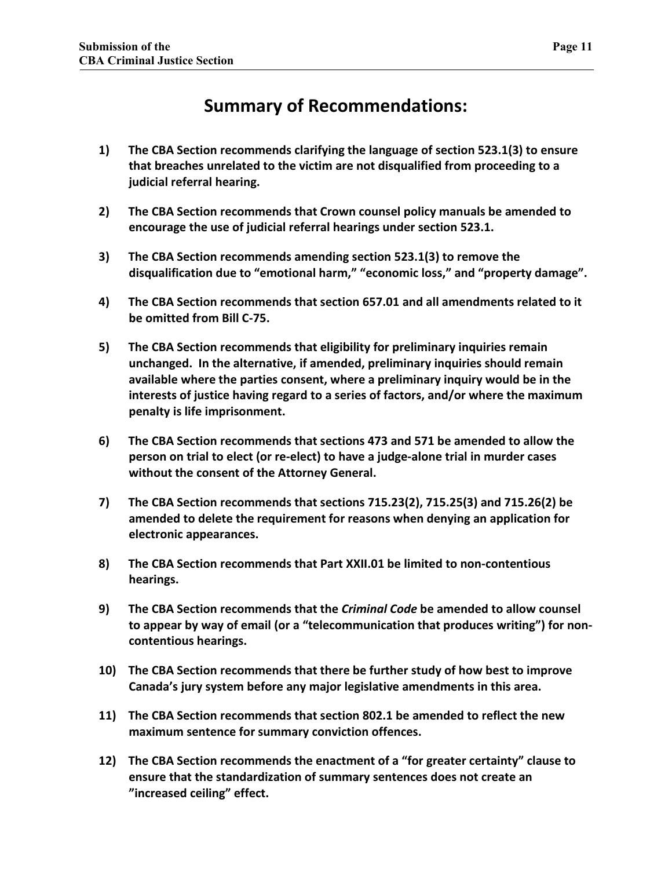# **Summary of Recommendations:**

- **1) The CBA Section recommends clarifying the language of section 523.1(3) to ensure that breaches unrelated to the victim are not disqualified from proceeding to a judicial referral hearing.**
- **2) The CBA Section recommends that Crown counsel policy manuals be amended to encourage the use of judicial referral hearings under section 523.1.**
- **3) The CBA Section recommends amending section 523.1(3) to remove the disqualification due to "emotional harm," "economic loss," and "property damage".**
- **4) The CBA Section recommends that section 657.01 and all amendments related to it be omitted from Bill C-75.**
- **5) The CBA Section recommends that eligibility for preliminary inquiries remain unchanged. In the alternative, if amended, preliminary inquiries should remain available where the parties consent, where a preliminary inquiry would be in the interests of justice having regard to a series of factors, and/or where the maximum penalty is life imprisonment.**
- **6) The CBA Section recommends that sections 473 and 571 be amended to allow the person on trial to elect (or re-elect) to have a judge-alone trial in murder cases without the consent of the Attorney General.**
- **7) The CBA Section recommends that sections 715.23(2), 715.25(3) and 715.26(2) be amended to delete the requirement for reasons when denying an application for electronic appearances.**
- **8) The CBA Section recommends that Part XXII.01 be limited to non-contentious hearings.**
- **9) The CBA Section recommends that the** *Criminal Code* **be amended to allow counsel to appear by way of email (or a "telecommunication that produces writing") for noncontentious hearings.**
- **10) The CBA Section recommends that there be further study of how best to improve Canada's jury system before any major legislative amendments in this area.**
- **11) The CBA Section recommends that section 802.1 be amended to reflect the new maximum sentence for summary conviction offences.**
- **12) The CBA Section recommends the enactment of a "for greater certainty" clause to ensure that the standardization of summary sentences does not create an "increased ceiling" effect.**